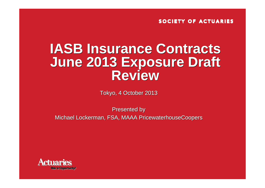## **IASB Insurance Contracts IASB Insurance Contracts June 2013 Exposure Draft June 2013 Exposure Draft Review**

Tokyo, 4 October 2013 Tokyo, 4 October 2013

Presented by Presented by Michael Lockerman, FSA, MAAA PricewaterhouseCoopers Michael Lockerman, FSA, MAAA PricewaterhouseCoopers

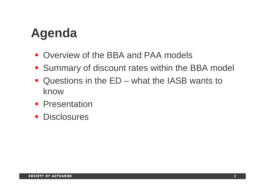## **Agenda**

- **Overview of the BBA and PAA models**
- **Summary of discount rates within the BBA model**
- $\mathcal{L}^{\mathcal{A}}$  Questions in the ED – what the IASB wants to know
- **Presentation**
- **Disclosures**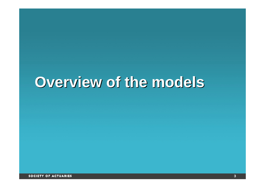# **Overview of the models Overview of the models**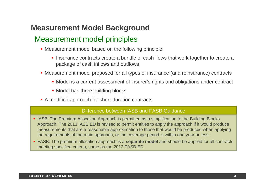### **Measurement Model Background**

### Measurement model principles

- Measurement model based on the following principle:
	- Insurance contracts create a bundle of cash flows that work together to create a package of cash inflows and outflows
- Measurement model proposed for all types of insurance (and reinsurance) contracts
	- Model is a current assessment of insurer's rights and obligations under contract
	- Model has three building blocks
- A modified approach for short-duration contracts

#### Difference between IASB and FASB Guidance

- **IASB: The Premium Allocation Approach is permitted as a simplification to the Building Blocks** Approach. The 2013 IASB ED is revised to permit entities to apply the approach if it would produce measurements that are a reasonable approximation to those that would be produced when applying the requirements of the main approach, or the coverage period is within one year or less;
- FASB: The premium allocation approach is a **separate model** and should be applied for all contracts meeting specified criteria, same as the 2012 FASB ED.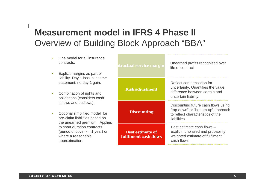## **Measurement model in IFRS 4 Phase II** Overview of Building Block Approach "BBA"

- •One model for all insural contracts.
- •Explicit margins as part liability. Day 1 loss in ine statement, no day 1 gain
- •Combination of rights and obligations (considers c inflows and outflows).
- •Optional simplified mode pre-claim liabilities base the unearned premium. to short duration contract (period of cover  $\leq 1$  ye where a reasonable approximation.

| ntractual service margin                                | Unearned profits recognised over<br>life of contract                                                                          |  |  |  |  |
|---------------------------------------------------------|-------------------------------------------------------------------------------------------------------------------------------|--|--|--|--|
| come<br>n.<br><b>Risk adjustment</b><br>nd<br>ash       | Reflect compensation for<br>uncertainty. Quantifies the value<br>difference between certain and<br>uncertain liability.       |  |  |  |  |
| <b>Discounting</b>                                      | Discounting future cash flows using<br>"top-down" or "bottom-up" approach<br>to reflect characteristics of the<br>liabilities |  |  |  |  |
| <b>Best estimate of</b><br><b>fulfilment cash flows</b> | Best estimate cash flows -<br>explicit, unbiased and probability<br>weighted estimate of fulfilment<br>cash flows             |  |  |  |  |
|                                                         |                                                                                                                               |  |  |  |  |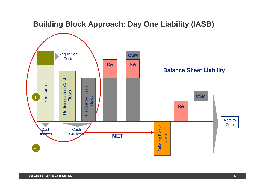### **Building Block Approach: Day One Liability (IASB)**

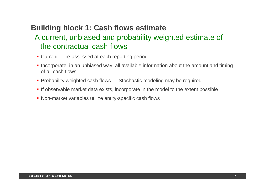### **Building block 1: Cash flows estimate**

### A current, unbiased and probability weighted estimate of the contractual cash flows

- Current re-assessed at each reporting period
- **Incorporate, in an unbiased way, all available information about the amount and timing** of all cash flows
- **Probability weighted cash flows Stochastic modeling may be required**
- **If observable market data exists, incorporate in the model to the extent possible**
- **Non-market variables utilize entity-specific cash flows**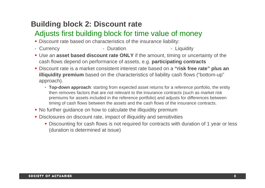### **Building block 2: Discount rate**

### Adjusts first building block for time value of money

- **Discount rate based on characteristics of the insurance liability:**
- Currency - Duration **- Liquidity**
- **Use an asset based discount rate ONLY** if the amount, timing or uncertainty of the cash flows depend on performance of assets, e.g. **participating contracts**
- Discount rate is a market consistent interest rate based on a **"risk free rate" plus an illiquidity premium** based on the characteristics of liability cash flows ("bottom-up" approach).
	- **Top-down approach**: starting from expected asset returns for a reference portfolio, the entity then removes factors that are not relevant to the insurance contracts (such as market risk premiums for assets included in the reference portfolio) and adjusts for differences between timing of cash flows between the assets and the cash flows of the insurance contracts.
- **No further guidance on how to calculate the illiquidity premium**
- **Disclosures on discount rate, impact of illiquidity and sensitivities** 
	- **Discounting for cash flows is not required for contracts with duration of 1 year or less** (duration is determined at issue)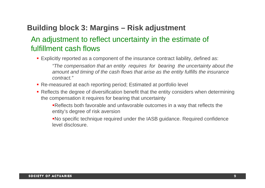### **Building block 3: Margins – Risk adjustment**

### An adjustment to reflect uncertainty in the estimate of fulfillment cash flows

- Explicitly reported as a component of the insurance contract liability, defined as: *"The compensation that an entity requires for bearing the uncertainty about the amount and timing of the cash flows that arise as the entity fulfills the insurance* 
	- *contract."*
- Re-measured at each reporting period; Estimated at portfolio level
- **Reflects the degree of diversification benefit that the entity considers when determining** the compensation it requires for bearing that uncertainty
	- Reflects both favorable and unfavorable outcomes in a way that reflects the entity's degree of risk aversion
	- No specific technique required under the IASB guidance. Required confidence level disclosure.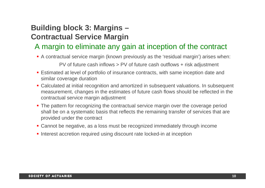### **Building block 3: Margins – Contractual Service Margin**

### A margin to eliminate any gain at inception of the contract

- A contractual service margin (known previously as the 'residual margin') arises when: PV of future cash inflows > PV of future cash outflows + risk adjustment
- **Eigmated at level of portfolio of insurance contracts, with same inception date and** similar coverage duration
- Calculated at initial recognition and amortized in subsequent valuations. In subsequent measurement, changes in the estimates of future cash flows should be reflected in the contractual service margin adjustment
- **The pattern for recognizing the contractual service margin over the coverage period** shall be on a systematic basis that reflects the remaining transfer of services that are provided under the contract
- **Cannot be negative, as a loss must be recognized immediately through income**
- **Interest accretion required using discount rate locked-in at inception**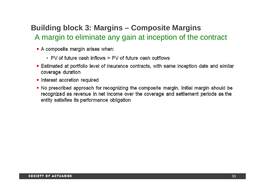## **Building block 3: Margins – Composite Margins** A margin to eliminate any gain at inception of the contract

- A composite margin arises when:
	- PV of future cash inflows > PV of future cash outflows
- **Estimated at portfolio level of insurance contracts, with same inception date and similar** coverage duration
- Interest accretion required
- No prescribed approach for recognizing the composite margin. Initial margin should be recognized as revenue in net income over the coverage and settlement periods as the entity satisfies its performance obligation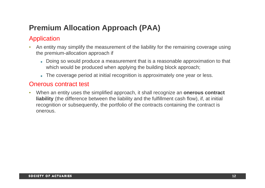## **Premium Allocation Approach (PAA)**

### Application

- • An entity may simplify the measurement of the liability for the remaining coverage using the premium-allocation approach if
	- Doing so would produce a measurement that is a reasonable approximation to that which would be produced when applying the building block approach;
	- The coverage period at initial recognition is approximately one year or less.

### Onerous contract test

 $\bullet$  When an entity uses the simplified approach, it shall recognize an **onerous contract liability** (the difference between the liability and the fulfillment cash flow), if, at initial recognition or subsequently, the portfolio of the contracts containing the contract is onerous.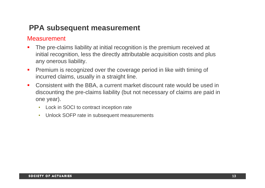### **PPA subsequent measurement**

### Measurement

- $\blacksquare$  The pre-claims liability at initial recognition is the premium received at initial recognition, less the directly attributable acquisition costs and plus any onerous liability.
- $\blacksquare$  Premium is recognized over the coverage period in like with timing of incurred claims, usually in a straight line.
- $\blacksquare$  Consistent with the BBA, a current market discount rate would be used in discounting the pre-claims liability (but not necessary of claims are paid in one year).
	- Lock in SOCI to contract inception rate
	- Unlock SOFP rate in subsequent measurements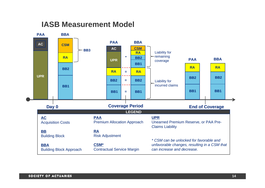### **IASB Measurement Model**

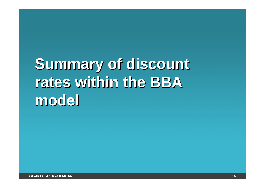# **Summary of discount Summary of discount rates within the BBA rates within the BBA model model**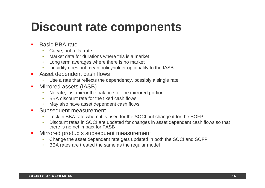## **Discount rate components**

- П Basic BBA rate
	- •Curve, not a flat rate
	- •Market data for durations where this is a market
	- •Long term averages where there is no market
	- •Liquidity does not mean policyholder optionality to the IASB
- **Asset dependent cash flows** 
	- Use a rate that reflects the dependency, possibly a single rate
- П Mirrored assets (IASB)
	- $\bullet$ No rate, just mirror the balance for the mirrored portion
	- •BBA discount rate for the fixed cash flows
	- •May also have asset dependent cash flows
- $\blacksquare$  Subsequent measurement
	- •Lock in BBA rate where it is used for the SOCI but change it for the SOFP
	- • Discount rates in SOCI are updated for changes in asset dependent cash flows so that there is no net impact for FASB
- $\blacksquare$  Mirrored products subsequent measurement
	- $\bullet$ Change the asset dependent rate gets updated in both the SOCI and SOFP
	- •BBA rates are treated the same as the regular model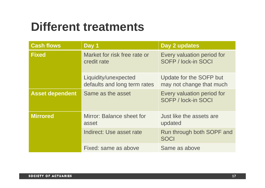## **Different treatments**

| <b>Cash flows</b>      | Day 1                                                | Day 2 updates                                       |
|------------------------|------------------------------------------------------|-----------------------------------------------------|
| <b>Fixed</b>           | Market for risk free rate or<br>credit rate          | Every valuation period for<br>SOFP / lock-in SOCI   |
|                        | Liquidity/unexpected<br>defaults and long term rates | Update for the SOFP but<br>may not change that much |
| <b>Asset dependent</b> | Same as the asset                                    | Every valuation period for<br>SOFP / lock-in SOCI   |
| <b>Mirrored</b>        | Mirror: Balance sheet for<br>asset                   | Just like the assets are<br>updated                 |
|                        | Indirect: Use asset rate                             | Run through both SOPF and<br><b>SOCI</b>            |
|                        | Fixed: same as above                                 | Same as above                                       |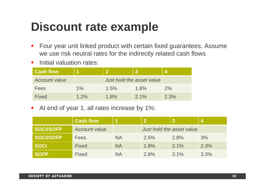## **Discount rate example**

- $\overline{\phantom{a}}$  Four year unit linked product with certain fixed guarantees. Assume we use risk neutral rates for the indirectly related cash flows
- **Initial valuation rates:**

| <b>Cash flow</b>     |         |                           |         |      |
|----------------------|---------|---------------------------|---------|------|
| <b>Account value</b> |         | Just hold the asset value |         |      |
| <b>Fees</b>          | $1\%$   | 1.5%                      | 1.8%    | 2%   |
| <b>Fixed</b>         | $1.2\%$ | 1.8%                      | $2.1\%$ | 2.3% |

 $\blacksquare$ At end of year 1, all rates increase by 1%:

|                  | <b>Cash flow</b>     |           |                           |         |      |
|------------------|----------------------|-----------|---------------------------|---------|------|
| <b>SOCI/SOFP</b> | <b>Account value</b> |           | Just hold the asset value |         |      |
| <b>SOCI/SOFP</b> | <b>Fees</b>          | <b>NA</b> | 2.5%                      | 2.8%    | 3%   |
| <b>SOCI</b>      | <b>Fixed</b>         | <b>NA</b> | 1.8%                      | $2.1\%$ | 2.3% |
| <b>SOFP</b>      | <b>Fixed</b>         | <b>NA</b> | 2.8%                      | $3.1\%$ | 3.3% |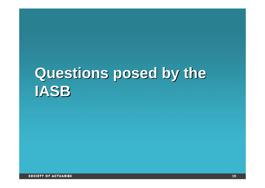# **Questions posed by the Questions posed by the IASB IASB**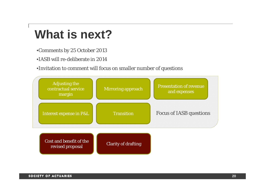## **What is next?**

- •Comments by 25 October 2013
- •IASB will re-deliberate in 2014

•Invitation to comment will focus on smaller number of questions

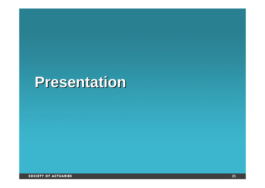# **Presentation Presentation**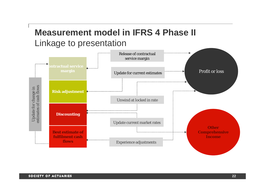## **Measurement model in IFRS 4 Phase II** Linkage to presentation

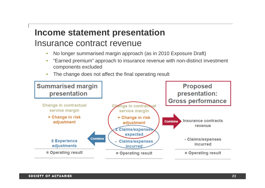## **Income statement presentation** Insurance contract revenue

- •No longer summarised margin approach (as in 2010 Exposure Draft)
- • "Earned premium" approach to insurance revenue with non-distinct investment components excluded
- •The change does not affect the final operating result

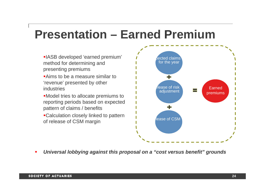## **Presentation – Earned Premium**

- IASB developed 'earned premium' method for determining and presenting premiums
- **Aims to be a measure similar to** 'revenue' presented by other industries
- Model tries to allocate premiums to reporting periods based on expected pattern of claims / benefits
- Calculation closely linked to pattern of release of CSM margin



*Universal lobbying against this proposal on a "cost versus benefit" grounds*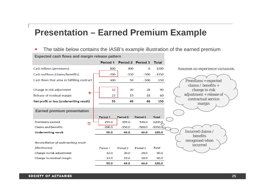## **Presentation – Earned Premium Example**

 $\blacksquare$ The table below contains the IASB's example illustration of the earned premium

**Expected cash flows and margin release pattern** 

|                                              | Period 1 |                     | Period 2 Period 3 | <b>Total</b> |                                         |
|----------------------------------------------|----------|---------------------|-------------------|--------------|-----------------------------------------|
| Cash inflows (premiums)                      | 800      | 400                 | 0                 | 1200         | Assumes no experience variances.        |
| Cash outflows (claims/benefits)              | $-200$   | $-350$              | $-500$            | $-1050$      |                                         |
| Cash flows that arise in fulfilling contract | 600      | 50                  | -500              | 150          | <b>Premiùms = expected</b>              |
| Change in risk adjustment                    | 32       | 30                  | 28                | 90           | claims / benefits $+$<br>change in risk |
| ╋<br>Release of residual margin              | 23       | 19                  | 18                | 60           | adjustment + release of $\cdot$         |
| Net profit or loss (underwriting result)     | 55       | 49                  | 46                | 150          | contractual service                     |
|                                              |          |                     |                   |              | margin                                  |
| <b>Earned premium presentation</b>           |          |                     |                   |              |                                         |
|                                              | Period 1 | Period <sub>2</sub> | Period 3          | <b>Total</b> |                                         |
| <b>Premiums earned</b><br>$=$                | 255.0    | 399.0               | 546.0             | 1200.0       |                                         |
| <b>Claims and benefits</b>                   | $-200.0$ | $-350.0$            | $-500.0$          | $-1050.0$    |                                         |
| <b>Underwriting result</b>                   | 55.0     | 49.0                | 46.0              | 150.0        | Incurred claims /                       |
|                                              |          |                     |                   |              | benefits                                |
| Reconciliation of underwriting result        |          |                     |                   |              | recognised when                         |
| (disclosures)                                | Period 1 | Period <sub>2</sub> | Period 3          | <b>Total</b> | incurred                                |
| Change in risk adjustment                    | 32.0     | 30.0                | 28.0              | 90.0         |                                         |
| Change in residual margin                    | 23.0     | 19.0                | 18.0              | 60.0         |                                         |
|                                              | 55.0     | 49.0                | 46.0              | 150.0        |                                         |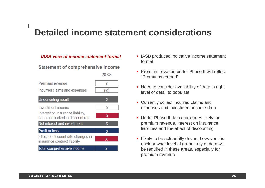## **Detailed income statement considerations**

#### *IASB view of income statement format*

#### **Statement of comprehensive income**

20XX

| Premium revenue              |  |
|------------------------------|--|
| Incurred claims and expenses |  |
| <b>Underwriting result</b>   |  |

| Investment income                                                    | x |
|----------------------------------------------------------------------|---|
| Interest on insurance liability,<br>based on locked in discount rate | x |
| Net interest and investment                                          | x |
| <b>Profit or loss</b>                                                | х |
| Effect of discount rate changes in<br>insurance contract liability   | x |
| Total comprehensive income                                           |   |

- IASB produced indicative income statement format.
- Premium revenue under Phase II will reflect "Premiums earned"
- Need to consider availability of data in right level of detail to populate
- Currently collect incurred claims and expenses and investment income data
- Under Phase II data challenges likely for premium revenue, interest on insurance liabilities and the effect of discounting
- Likely to be actuarially driven; however it is unclear what level of granularity of data will be required in these areas, especially for premium revenue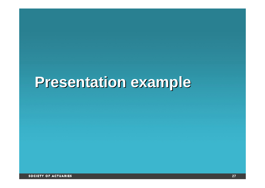# **Presentation example Presentation example**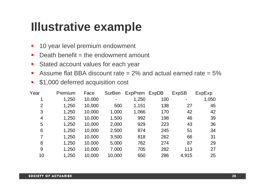## **Illustrative example**

- $\blacksquare$ 10 year level premium endowment
- $\blacksquare$ Death benefit  $=$  the endowment amount
- $\blacksquare$ Stated account values for each year
- $\blacksquare$ Assume flat BBA discount rate  $= 2\%$  and actual earned rate  $= 5\%$
- $\mathcal{L}_{\mathcal{A}}$ \$1,000 deferred acquisition cost

| Year           | Premium | Face   | <b>SurBen</b>  | ExpPrem ExpDB |     | <b>ExpSB</b> | ExpExp |
|----------------|---------|--------|----------------|---------------|-----|--------------|--------|
| 1              | 1,250   | 10,000 | $\blacksquare$ | 1,250         | 100 | -            | 1,050  |
| 2              | 1,250   | 10,000 | 500            | 1,151         | 138 | 27           | 45     |
| 3              | 1,250   | 10,000 | 1,000          | 1,066         | 170 | 42           | 42     |
| $\overline{4}$ | 1,250   | 10,000 | 1,500          | 992           | 198 | 46           | 39     |
| 5              | 1,250   | 10,000 | 2,000          | 929           | 223 | 43           | 36     |
| 6              | 1,250   | 10,000 | 2,500          | 874           | 245 | 51           | 34     |
| $\overline{7}$ | 1,250   | 10,000 | 3,500          | 818           | 262 | 66           | 31     |
| 8              | 1,250   | 10,000 | 5,000          | 762           | 274 | 87           | 29     |
| 9              | 1,250   | 10,000 | 7,000          | 705           | 282 | 113          | 27     |
| 10             | 1,250   | 10,000 | 10,000         | 650           | 286 | 4,915        | 25     |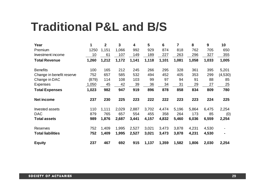## **Traditional P&L and B/S**

| Year                      | $\mathbf 1$ | $\boldsymbol{2}$ | 3     | 4     | 5     | $6\phantom{1}$ | $\overline{7}$ | 8     | 9     | 10             |
|---------------------------|-------------|------------------|-------|-------|-------|----------------|----------------|-------|-------|----------------|
| Premium                   | 1250        | 1,151            | 1,066 | 992   | 929   | 874            | 818            | 762   | 705   | 650            |
| Investment income         | 10          | 61               | 107   | 149   | 189   | 227            | 263            | 296   | 327   | 355            |
| <b>Total Revenue</b>      | 1,260       | 1,212            | 1,172 | 1,141 | 1,118 | 1,101          | 1,081          | 1,058 | 1,033 | 1,005          |
| <b>Benefits</b>           | 100         | 165              | 212   | 245   | 266   | 295            | 328            | 361   | 395   | 5,201          |
| Change in benefit reserve | 752         | 657              | 585   | 532   | 494   | 452            | 405            | 353   | 299   | (4,530)        |
| Change in DAC             | (879)       | 114              | 108   | 103   | 99    | 97             | 94             | 91    | 88    | 85             |
| Expenses                  | 1,050       | 45               | 42    | 39    | 36    | 34             | 31             | 29    | 27    | 25             |
| <b>Total Expenses</b>     | 1,023       | 982              | 947   | 919   | 896   | 878            | 858            | 834   | 809   | 780            |
| <b>Net income</b>         | 237         | 230              | 225   | 223   | 222   | 222            | 223            | 223   | 224   | 225            |
| <b>Invested assets</b>    | 110         | 1,111            | 2,029 | 2,887 | 3,702 | 4,474          | 5,196          | 5,864 | 6,475 | 2,254          |
| <b>DAC</b>                | 879         | 765              | 657   | 554   | 455   | 358            | 264            | 173   | 85    | (0)            |
| <b>Total assets</b>       | 989         | 1,876            | 2,687 | 3,441 | 4,157 | 4,832          | 5,460          | 6,036 | 6,559 | 2,254          |
| <b>Reserves</b>           | 752         | 1,409            | 1,995 | 2,527 | 3,021 | 3,473          | 3,878          | 4,231 | 4,530 |                |
| <b>Total liabilities</b>  | 752         | 1,409            | 1,995 | 2,527 | 3,021 | 3,473          | 3,878          | 4,231 | 4,530 | $\blacksquare$ |
| <b>Equity</b>             | 237         | 467              | 692   | 915   | 1,137 | 1,359          | 1,582          | 1,806 | 2,030 | 2,254          |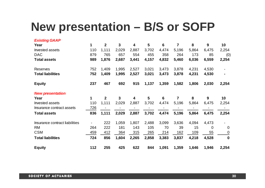## **New presentation – B/S or SOFP**

| <b>Existing GAAP</b>           |     |                  |              |       |                 |                |                |       |                |                          |
|--------------------------------|-----|------------------|--------------|-------|-----------------|----------------|----------------|-------|----------------|--------------------------|
| Year                           | 1   | $\overline{2}$   | $\mathbf{3}$ | 4     | 5               | $6\phantom{1}$ | $\overline{7}$ | 8     | 9              | 10                       |
| <b>Invested assets</b>         | 110 | 1,111            | 2,029        | 2,887 | 3,702           | 4,474          | 5,196          | 5,864 | 6,475          | 2,254                    |
| <b>DAC</b>                     | 879 | 765              | 657          | 554   | 455             | 358            | 264            | 173   | 85             | (0)                      |
| <b>Total assets</b>            | 989 | 1,876            | 2,687        | 3,441 | 4,157           | 4,832          | 5,460          | 6,036 | 6,559          | 2,254                    |
| <b>Reserves</b>                | 752 | 1,409            | 1,995        | 2,527 | 3,021           | 3,473          | 3,878          | 4,231 | 4,530          |                          |
| <b>Total liabilities</b>       | 752 | 1,409            | 1,995        | 2,527 | 3,021           | 3,473          | 3,878          | 4,231 | 4,530          |                          |
| <b>Equity</b>                  | 237 | 467              | 692          | 915   | 1,137           | 1,359          | 1,582          | 1,806 | 2,030          | 2,254                    |
| <b>New presentation</b>        |     |                  |              |       |                 |                |                |       |                |                          |
| Year                           | 1   | $\boldsymbol{2}$ | $\mathbf{3}$ | 4     | $5\phantom{.0}$ | $6\phantom{1}$ | $\overline{7}$ | 8     | 9              | 10                       |
| <b>Invested assets</b>         | 110 | 1,111            | 2,029        | 2,887 | 3,702           | 4,474          | 5,196          | 5,864 | 6,475          | 2,254                    |
| Insurance contract assets      | 726 |                  |              |       |                 |                |                |       |                |                          |
| <b>Total assets</b>            | 836 | 1,111            | 2,029        | 2,887 | 3,702           | 4,474          | 5,196          | 5,864 | 6,475          | 2,254                    |
| Insurance contract liabilities |     | 222              | 1,059        | 1,807 | 2,488           | 3,099          | 3,636          | 4,094 | 4,473          | $\overline{\phantom{0}}$ |
| <b>RM</b>                      | 264 | 222              | 181          | 143   | 105             | 70             | 39             | 15    | $\overline{0}$ | $\overline{0}$           |
| <b>CSM</b>                     | 459 | 412              | 364          | 315   | 265             | 214            | 162            | 109   | 55             | $\mathbf 0$              |
| <b>Total liabilities</b>       | 724 | 856              | 1,604        | 2,265 | 2,858           | 3,383          | 3,837          | 4,218 | 4,528          | $\mathbf 0$              |
| <b>Equity</b>                  | 112 | 255              | 425          | 622   | 844             | 1,091          | 1,359          | 1,646 | 1,946          | 2,254                    |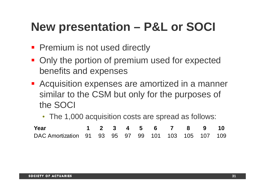## **New presentation – P&L or SOCI**

- **Premium is not used directly**
- **Only the portion of premium used for expected** benefits and expenses
- **Acquisition expenses are amortized in a manner** similar to the CSM but only for the purposes of the SOCI
	- The 1,000 acquisition costs are spread as follows:

| Year                                                |  |  |  | 1 2 3 4 5 6 7 8 9 10 |  |  |
|-----------------------------------------------------|--|--|--|----------------------|--|--|
| DAC Amortization 91 93 95 97 99 101 103 105 107 109 |  |  |  |                      |  |  |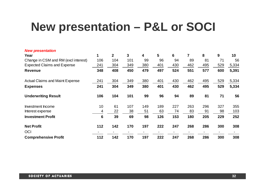## **New presentation – P&L or SOCI**

| <b>New presentation</b>                |     |                |     |     |     |     |     |     |     |       |
|----------------------------------------|-----|----------------|-----|-----|-----|-----|-----|-----|-----|-------|
| Year                                   | 1   | $\overline{2}$ | 3   | 4   | 5   | 6   | 7   | 8   | 9   | 10    |
| Change in CSM and RM (excl interest)   | 106 | 104            | 101 | 99  | 96  | 94  | 89  | 81  | 71  | 56    |
| <b>Expected Claims and Expense</b>     | 241 | 304            | 349 | 380 | 401 | 430 | 462 | 495 | 529 | 5,334 |
| <b>Revenue</b>                         | 348 | 408            | 450 | 479 | 497 | 524 | 551 | 577 | 600 | 5,391 |
| <b>Actual Claims and Maint Expense</b> | 241 | 304            | 349 | 380 | 401 | 430 | 462 | 495 | 529 | 5,334 |
| <b>Expenses</b>                        | 241 | 304            | 349 | 380 | 401 | 430 | 462 | 495 | 529 | 5,334 |
| <b>Underwriting Result</b>             | 106 | 104            | 101 | 99  | 96  | 94  | 89  | 81  | 71  | 56    |
| Investment Income                      | 10  | 61             | 107 | 149 | 189 | 227 | 263 | 296 | 327 | 355   |
| Interest expense                       | 4   | 22             | 38  | 51  | 63  | 74  | 83  | 91  | 98  | 103   |
| <b>Investment Profit</b>               | 6   | 39             | 69  | 98  | 126 | 153 | 180 | 205 | 229 | 252   |
| <b>Net Profit</b>                      | 112 | 142            | 170 | 197 | 222 | 247 | 268 | 286 | 300 | 308   |
| OCI                                    |     |                |     |     |     |     |     |     |     |       |
| <b>Comprehensive Profit</b>            | 112 | 142            | 170 | 197 | 222 | 247 | 268 | 286 | 300 | 308   |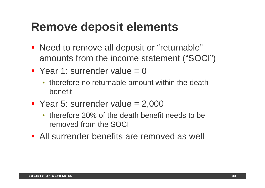## **Remove deposit elements**

- **Need to remove all deposit or "returnable"** amounts from the income statement ("SOCI")
- $\blacksquare$  Year 1: surrender value = 0
	- therefore no returnable amount within the death benefit
- Year 5: surrender value  $= 2,000$ 
	- therefore 20% of the death benefit needs to be removed from the SOCI
- All surrender benefits are removed as well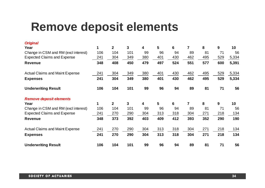## **Remove deposit elements**

| <b>Original</b>                        |     |                |     |     |                |     |                |     |     |                 |
|----------------------------------------|-----|----------------|-----|-----|----------------|-----|----------------|-----|-----|-----------------|
| Year                                   | 1   | $\mathbf{2}$   | 3   | 4   | $5\phantom{1}$ | 6   | $\overline{7}$ | 8   | 9   | 10 <sup>1</sup> |
| Change in CSM and RM (excl interest)   | 106 | 104            | 101 | 99  | 96             | 94  | 89             | 81  | 71  | 56              |
| <b>Expected Claims and Expense</b>     | 241 | 304            | 349 | 380 | 401            | 430 | 462            | 495 | 529 | 5,334           |
| <b>Revenue</b>                         | 348 | 408            | 450 | 479 | 497            | 524 | 551            | 577 | 600 | 5,391           |
| <b>Actual Claims and Maint Expense</b> | 241 | 304            | 349 | 380 | 401            | 430 | 462            | 495 | 529 | 5,334           |
| <b>Expenses</b>                        | 241 | 304            | 349 | 380 | 401            | 430 | 462            | 495 | 529 | 5,334           |
| <b>Underwriting Result</b>             | 106 | 104            | 101 | 99  | 96             | 94  | 89             | 81  | 71  | 56              |
| <b>Remove deposit elements</b>         |     |                |     |     |                |     |                |     |     |                 |
| Year                                   | 1   | $\overline{2}$ | 3   | 4   | 5              | 6   | $\overline{7}$ | 8   | 9   | 10              |
| Change in CSM and RM (excl interest)   | 106 | 104            | 101 | 99  | 96             | 94  | 89             | 81  | 71  | 56              |
| <b>Expected Claims and Expense</b>     | 241 | 270            | 290 | 304 | 313            | 318 | 304            | 271 | 218 | 134             |
| <b>Revenue</b>                         | 348 | 373            | 392 | 403 | 409            | 412 | 393            | 352 | 290 | 190             |
| <b>Actual Claims and Maint Expense</b> | 241 | 270            | 290 | 304 | 313            | 318 | 304            | 271 | 218 | 134             |
| <b>Expenses</b>                        | 241 | 270            | 290 | 304 | 313            | 318 | 304            | 271 | 218 | 134             |
| <b>Underwriting Result</b>             | 106 | 104            | 101 | 99  | 96             | 94  | 89             | 81  | 71  | 56              |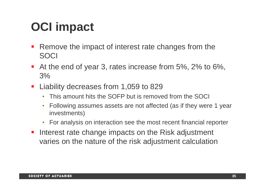## **OCI impact**

- $\mathcal{L}_{\mathcal{A}}$  Remove the impact of interest rate changes from the SOCI
- At the end of year 3, rates increase from 5%, 2% to 6%, 3%
- **Liability decreases from 1,059 to 829** 
	- •This amount hits the SOFP but is removed from the SOCI
	- • Following assumes assets are not affected (as if they were 1 year investments)
	- $\bullet$ For analysis on interaction see the most recent financial reporter
- **Interest rate change impacts on the Risk adjustment** varies on the nature of the risk adjustment calculation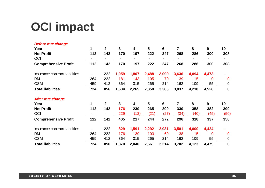## **OCI impact**

| <b>Before rate change</b>      |     |                |              |                         |                |       |                |       |             |              |
|--------------------------------|-----|----------------|--------------|-------------------------|----------------|-------|----------------|-------|-------------|--------------|
| Year                           | 1   | $\overline{2}$ | $\mathbf{3}$ | $\overline{\mathbf{4}}$ | $5\phantom{1}$ | 6     | 7              | 8     | 9           | 10           |
| <b>Net Profit</b>              | 112 | 142            | 170          | 197                     | 222            | 247   | 268            | 286   | 300         | 308          |
| OCI                            |     |                |              |                         |                |       |                |       |             | ۰.           |
| <b>Comprehensive Profit</b>    | 112 | 142            | 170          | 197                     | 222            | 247   | 268            | 286   | 300         | 308          |
| Insurance contract liabilities |     | 222            | 1,059        | 1,807                   | 2,488          | 3,099 | 3,636          | 4,094 | 4,473       | ۰            |
| <b>RM</b>                      | 264 | 222            | 181          | 143                     | 105            | 70    | 39             | 15    | 0           | $\mathbf{0}$ |
| <b>CSM</b>                     | 459 | 412            | 364          | 315                     | 265            | 214   | 162            | 109   | 55          | $\mathbf 0$  |
| <b>Total liabilities</b>       | 724 | 856            | 1,604        | 2,265                   | 2,858          | 3,383 | 3,837          | 4,218 | 4,528       | $\mathbf 0$  |
| <b>After rate change</b>       |     |                |              |                         |                |       |                |       |             |              |
| Year                           | 1   | $\mathbf{2}$   | 3            | 4                       | 5              | 6     | $\overline{7}$ | 8     | 9           | 10           |
| <b>Net Profit</b>              | 112 | 142            | 176          | 230                     | 265            | 299   | 330            | 358   | 382         | 399          |
| OCI                            |     |                | 229          | (13)                    | (21)           | (27)  | (34)           | (40)  | (45)        | (50)         |
| <b>Comprehensive Profit</b>    | 112 | 142            | 405          | 217                     | 244            | 272   | 296            | 318   | 337         | 350          |
| Insurance contract liabilities |     | 222            | 829          | 1,591                   | 2,292          | 2,931 | 3,501          | 4,000 | 4,424       | ۰            |
| <b>RM</b>                      | 264 | 222            | 176          | 139                     | 103            | 69    | 38             | 15    | $\mathbf 0$ | $\mathbf 0$  |
| <b>CSM</b>                     | 459 | 412            | 364          | 315                     | 265            | 214   | 162            | 109   | 55          | $\mathbf 0$  |
| <b>Total liabilities</b>       | 724 | 856            | 1,370        | 2,046                   | 2,661          | 3,214 | 3,702          | 4,123 | 4,479       | $\mathbf 0$  |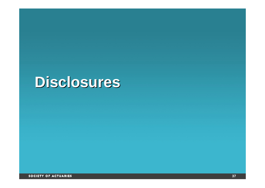# **Disclosures Disclosures**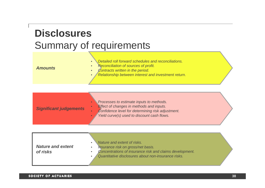## **Disclosures** Summary of requirements

| <b>Amounts</b> | Detailed roll forward schedules and reconciliations.<br>Reconciliation of sources of profit.<br><b>Contracts written in the period.</b><br>Relationship between interest and investment return. |  |
|----------------|-------------------------------------------------------------------------------------------------------------------------------------------------------------------------------------------------|--|
|                |                                                                                                                                                                                                 |  |

| <b>Significant judgements</b> | Processes to estimate inputs to methods.<br><b>Effect of changes in methods and inputs.</b><br>Confidence level for determining risk adjustment.<br>Yield curve(s) used to discount cash flows. |  |
|-------------------------------|-------------------------------------------------------------------------------------------------------------------------------------------------------------------------------------------------|--|
|-------------------------------|-------------------------------------------------------------------------------------------------------------------------------------------------------------------------------------------------|--|

| <b>Nature and extent</b><br>of risks | Nature and extent of risks.<br>Insurance risk on gross/net basis.<br>Concentrations of insurance risk and claims development.<br>Quantitative disclosures about non-insurance risks. |  |
|--------------------------------------|--------------------------------------------------------------------------------------------------------------------------------------------------------------------------------------|--|
|--------------------------------------|--------------------------------------------------------------------------------------------------------------------------------------------------------------------------------------|--|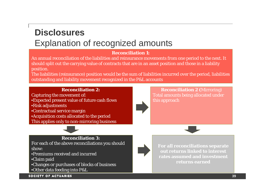## **Disclosures** Explanation of recognized amounts

#### **Reconciliation 1:**

An annual reconciliation of the liabilities and reinsurance movements from one period to the next. It should split out the carrying value of contracts that are in an asset position and those in a liability position.

The liabilities (reinsurance) position would be the sum of liabilities incurred over the period, liabilities outstanding and liability movement recognized in the P&L accounts

#### **Reconciliation 2:**

Capturing the movement of: •Expected present value of future cash flows

•Risk adjustments

•Contractual service margin

•Acquisition costs allocated to the period

This applies only to non-mirroring business



#### **Reconciliation 3:**

For each of the above reconciliations you should show:

•Premiums received and incurred

•Claim paid

•Changes or purchases of blocks of business •Other data feeding into P&L

SOCIETY OF ACTUARIES



**Reconciliation 2 (**Mirroring) Total amounts being allocated under this approach



**For all reconciliations separate out returns linked to interest rates assumed and investment returns earned**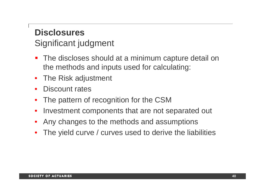## **Disclosures** Significant judgment

- T. The discloses should at a minimum capture detail on the methods and inputs used for calculating:
- $\bullet$ The Risk adjustment
- •Discount rates
- •The pattern of recognition for the CSM
- •Investment components that are not separated out
- •Any changes to the methods and assumptions
- •The yield curve / curves used to derive the liabilities